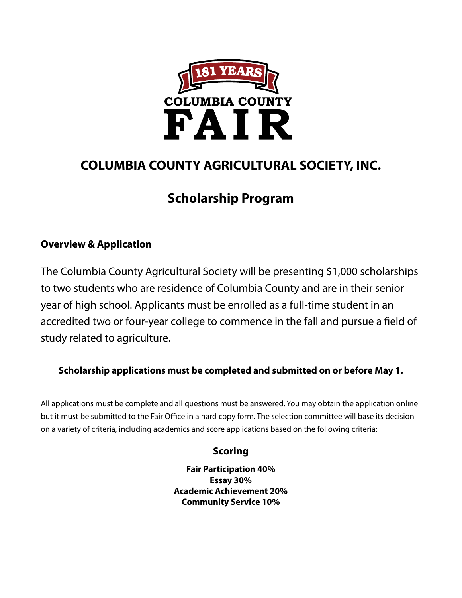

## **COLUMBIA COUNTY AGRICULTURAL SOCIETY, INC.**

# **Scholarship Program**

### **Overview & Application**

The Columbia County Agricultural Society will be presenting \$1,000 scholarships to two students who are residence of Columbia County and are in their senior year of high school. Applicants must be enrolled as a full-time student in an accredited two or four-year college to commence in the fall and pursue a field of study related to agriculture.

#### **Scholarship applications must be completed and submitted on or before May 1.**

All applications must be complete and all questions must be answered. You may obtain the application online but it must be submitted to the Fair Office in a hard copy form. The selection committee will base its decision on a variety of criteria, including academics and score applications based on the following criteria:

#### **Scoring**

**Fair Participation 40% Essay 30% Academic Achievement 20% Community Service 10%**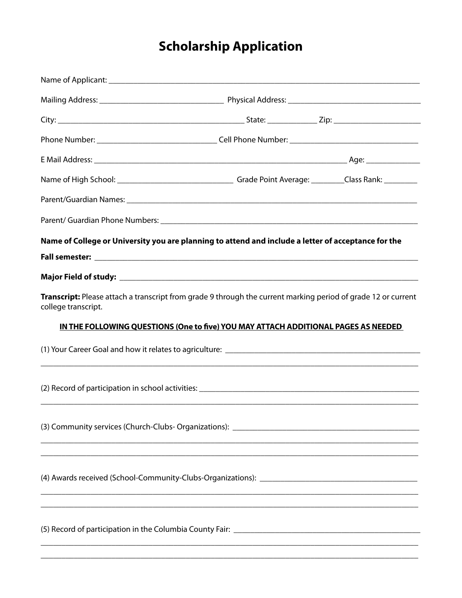# **Scholarship Application**

| Name of College or University you are planning to attend and include a letter of acceptance for the                                  |  |  |
|--------------------------------------------------------------------------------------------------------------------------------------|--|--|
|                                                                                                                                      |  |  |
|                                                                                                                                      |  |  |
| Transcript: Please attach a transcript from grade 9 through the current marking period of grade 12 or current<br>college transcript. |  |  |
| IN THE FOLLOWING QUESTIONS (One to five) YOU MAY ATTACH ADDITIONAL PAGES AS NEEDED                                                   |  |  |
|                                                                                                                                      |  |  |
|                                                                                                                                      |  |  |
|                                                                                                                                      |  |  |
| and the control of the control of the control of the control of the control of the control of the control of the                     |  |  |
|                                                                                                                                      |  |  |